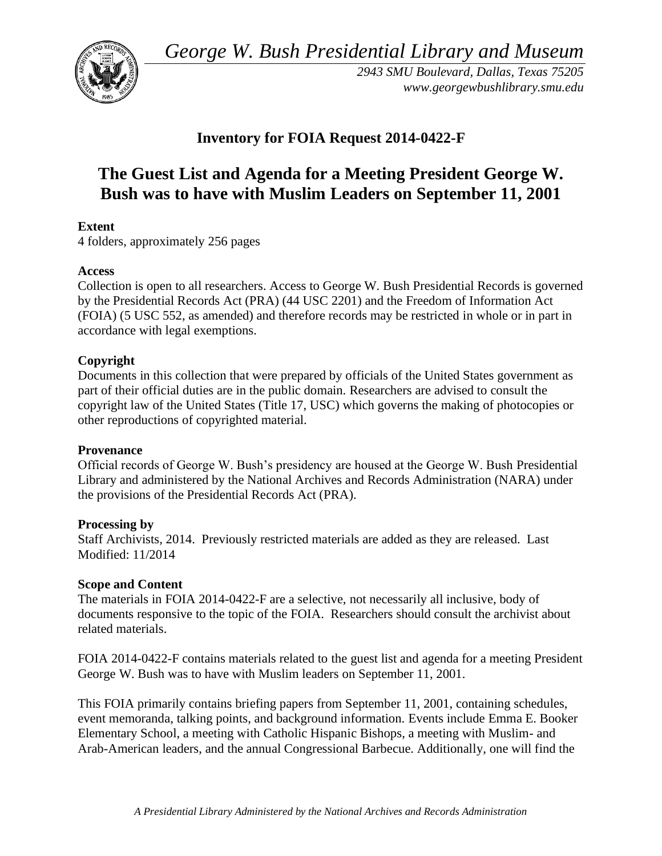*George W. Bush Presidential Library and Museum* 



*2943 SMU Boulevard, Dallas, Texas 75205 <www.georgewbushlibrary.smu.edu>* 

# **Inventory for FOIA Request 2014-0422-F**

# **The Guest List and Agenda for a Meeting President George W. Bush was to have with Muslim Leaders on September 11, 2001**

## **Extent**

4 folders, approximately 256 pages

#### **Access**

Collection is open to all researchers. Access to George W. Bush Presidential Records is governed by the Presidential Records Act (PRA) (44 USC 2201) and the Freedom of Information Act (FOIA) (5 USC 552, as amended) and therefore records may be restricted in whole or in part in accordance with legal exemptions.

### **Copyright**

 Documents in this collection that were prepared by officials of the United States government as part of their official duties are in the public domain. Researchers are advised to consult the copyright law of the United States (Title 17, USC) which governs the making of photocopies or other reproductions of copyrighted material.

#### **Provenance**

Official records of George W. Bush's presidency are housed at the George W. Bush Presidential Library and administered by the National Archives and Records Administration (NARA) under the provisions of the Presidential Records Act (PRA).

#### **Processing by**

Staff Archivists, 2014. Previously restricted materials are added as they are released. Last Modified: 11/2014

#### **Scope and Content**

 documents responsive to the topic of the FOIA. Researchers should consult the archivist about The materials in FOIA 2014-0422-F are a selective, not necessarily all inclusive, body of related materials.

FOIA 2014-0422-F contains materials related to the guest list and agenda for a meeting President George W. Bush was to have with Muslim leaders on September 11, 2001.

This FOIA primarily contains briefing papers from September 11, 2001, containing schedules, event memoranda, talking points, and background information. Events include Emma E. Booker Elementary School, a meeting with Catholic Hispanic Bishops, a meeting with Muslim- and Arab-American leaders, and the annual Congressional Barbecue. Additionally, one will find the